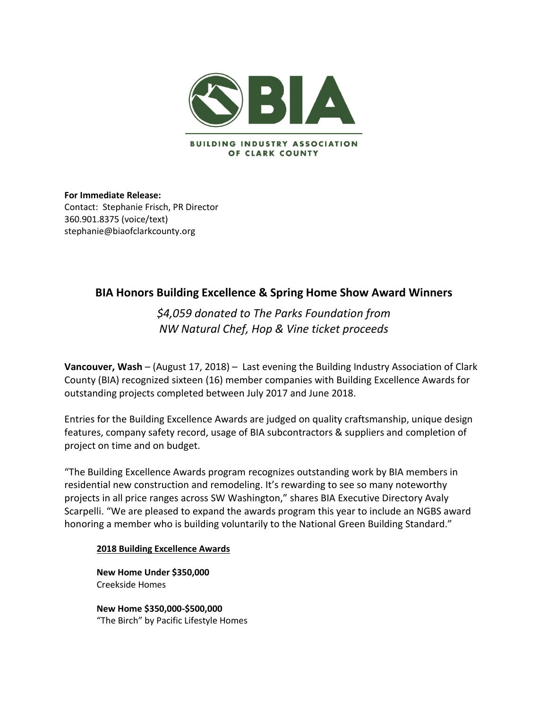

**For Immediate Release:**  Contact:Stephanie Frisch, PR Director 360.901.8375 (voice/text) stephanie@biaofclarkcounty.org

# **BIA Honors Building Excellence & Spring Home Show Award Winners**

*\$4,059 donated to The Parks Foundation from NW Natural Chef, Hop & Vine ticket proceeds*

**Vancouver, Wash** – (August 17, 2018) – Last evening the Building Industry Association of Clark County (BIA) recognized sixteen (16) member companies with Building Excellence Awards for outstanding projects completed between July 2017 and June 2018.

Entries for the Building Excellence Awards are judged on quality craftsmanship, unique design features, company safety record, usage of BIA subcontractors & suppliers and completion of project on time and on budget.

"The Building Excellence Awards program recognizes outstanding work by BIA members in residential new construction and remodeling. It's rewarding to see so many noteworthy projects in all price ranges across SW Washington," shares BIA Executive Directory Avaly Scarpelli. "We are pleased to expand the awards program this year to include an NGBS award honoring a member who is building voluntarily to the National Green Building Standard."

### **2018 Building Excellence Awards**

**New Home Under \$350,000** Creekside Homes

**New Home \$350,000-\$500,000** "The Birch" by Pacific Lifestyle Homes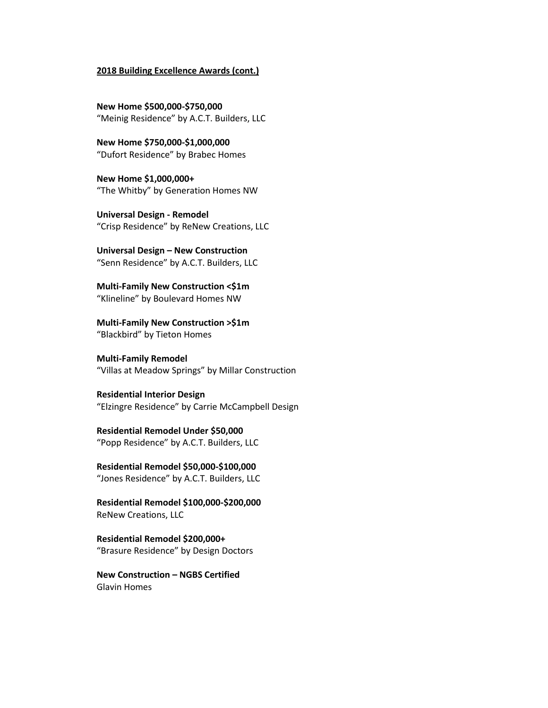#### **2018 Building Excellence Awards (cont.)**

**New Home \$500,000-\$750,000** "Meinig Residence" by A.C.T. Builders, LLC

**New Home \$750,000-\$1,000,000** "Dufort Residence" by Brabec Homes

**New Home \$1,000,000+** "The Whitby" by Generation Homes NW

**Universal Design - Remodel** "Crisp Residence" by ReNew Creations, LLC

**Universal Design – New Construction** "Senn Residence" by A.C.T. Builders, LLC

**Multi-Family New Construction <\$1m** "Klineline" by Boulevard Homes NW

**Multi-Family New Construction >\$1m** "Blackbird" by Tieton Homes

**Multi-Family Remodel**  "Villas at Meadow Springs" by Millar Construction

**Residential Interior Design** "Elzingre Residence" by Carrie McCampbell Design

**Residential Remodel Under \$50,000** "Popp Residence" by A.C.T. Builders, LLC

**Residential Remodel \$50,000-\$100,000** "Jones Residence" by A.C.T. Builders, LLC

**Residential Remodel \$100,000-\$200,000** ReNew Creations, LLC

**Residential Remodel \$200,000+** "Brasure Residence" by Design Doctors

**New Construction – NGBS Certified**  Glavin Homes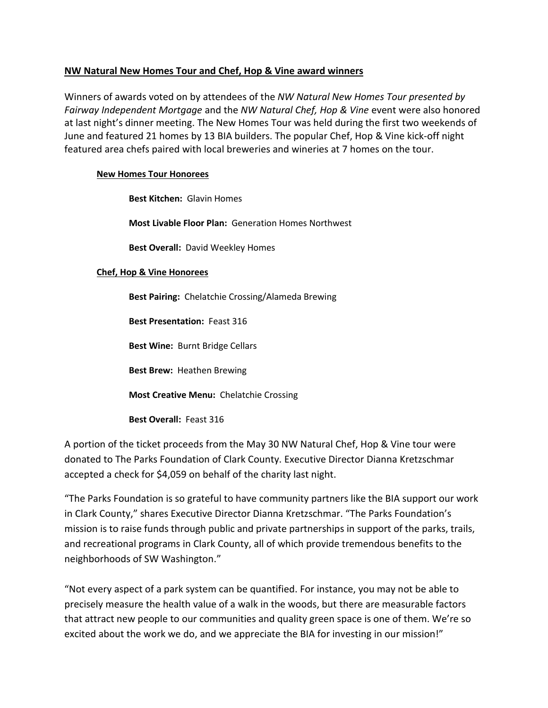# **NW Natural New Homes Tour and Chef, Hop & Vine award winners**

Winners of awards voted on by attendees of the *NW Natural New Homes Tour presented by Fairway Independent Mortgage* and the *NW Natural Chef, Hop & Vine* event were also honored at last night's dinner meeting. The New Homes Tour was held during the first two weekends of June and featured 21 homes by 13 BIA builders. The popular Chef, Hop & Vine kick-off night featured area chefs paired with local breweries and wineries at 7 homes on the tour.

## **New Homes Tour Honorees**

**Best Kitchen:** Glavin Homes

**Most Livable Floor Plan:** Generation Homes Northwest

**Best Overall:** David Weekley Homes

### **Chef, Hop & Vine Honorees**

**Best Pairing:** Chelatchie Crossing/Alameda Brewing **Best Presentation:** Feast 316 **Best Wine:** Burnt Bridge Cellars **Best Brew:** Heathen Brewing

**Most Creative Menu:** Chelatchie Crossing

**Best Overall:** Feast 316

A portion of the ticket proceeds from the May 30 NW Natural Chef, Hop & Vine tour were donated to The Parks Foundation of Clark County. Executive Director Dianna Kretzschmar accepted a check for \$4,059 on behalf of the charity last night.

"The Parks Foundation is so grateful to have community partners like the BIA support our work in Clark County," shares Executive Director Dianna Kretzschmar. "The Parks Foundation's mission is to raise funds through public and private partnerships in support of the parks, trails, and recreational programs in Clark County, all of which provide tremendous benefits to the neighborhoods of SW Washington."

"Not every aspect of a park system can be quantified. For instance, you may not be able to precisely measure the health value of a walk in the woods, but there are measurable factors that attract new people to our communities and quality green space is one of them. We're so excited about the work we do, and we appreciate the BIA for investing in our mission!"